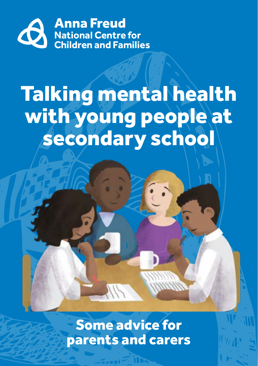

# Talking mental health with young people at secondary school

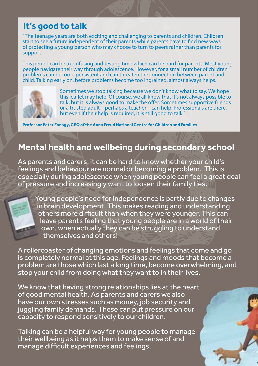#### **It's good to talk**

"The teenage years are both exciting and challenging to parents and children. Children start to see a future independent of their parents while parents have to find new ways of protecting a young person who may choose to turn to peers rather than parents for support.

This period can be a confusing and testing time which can be hard for parents. Most young people navigate their way through adolescence. However, for a small number of children problems can become persistent and can threaten the connection between parent and child. Talking early on, before problems become too ingrained, almost always helps.



Sometimes we stop talking because we don't know what to say. We hope this leaflet may help. Of course, we all know that it's not always possible to talk, but it is always good to make the offer. Sometimes supportive friends or a trusted adult – perhaps a teacher – can help. Professionals are there, but even if their help is required, it is still good to talk."

**Professor Peter Fonagy, CEO of the Anna Freud National Centre for Children and Families**

## **Mental health and wellbeing during secondary school**

As parents and carers, it can be hard to know whether your child's feelings and behaviour are normal or becoming a problem. This is especially during adolescence when young people can feel a great deal of pressure and increasingly want to loosen their family ties.

Young people's need for independence is partly due to changes in brain development. This makes reading and understanding others more difficult than when they were younger. This can leave parents feeling that young people are in a world of their own, when actually they can be struggling to understand themselves and others!

A rollercoaster of changing emotions and feelings that come and go is completely normal at this age. Feelings and moods that become a problem are those which last a long time, become overwhelming, and stop your child from doing what they want to in their lives.

We know that having strong relationships lies at the heart of good mental health. As parents and carers we also have our own stresses such as money, job security and juggling family demands. These can put pressure on our capacity to respond sensitively to our children.

Talking can be a helpful way for young people to manage their wellbeing as it helps them to make sense of and manage difficult experiences and feelings.

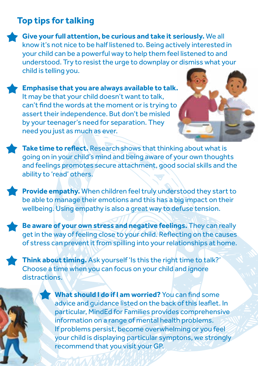### **Top tips for talking**

**Give your full attention, be curious and take it seriously.** We all know it's not nice to be half listened to. Being actively interested in your child can be a powerful way to help them feel listened to and understood. Try to resist the urge to downplay or dismiss what your child is telling you.

**Emphasise that you are always available to talk.** It may be that your child doesn't want to talk, can't find the words at the moment or is trying to assert their independence. But don't be misled by your teenager's need for separation. They need you just as much as ever.



**Take time to reflect.** Research shows that thinking about what is going on in your child's mind and being aware of your own thoughts and feelings promotes secure attachment, good social skills and the ability to 'read' others.

**Provide empathy.** When children feel truly understood they start to be able to manage their emotions and this has a big impact on their wellbeing. Using empathy is also a great way to defuse tension.

**Be aware of your own stress and negative feelings.** They can really get in the way of feeling close to your child. Reflecting on the causes of stress can prevent it from spilling into your relationships at home.

**Think about timing.** Ask yourself 'Is this the right time to talk?' Choose a time when you can focus on your child and ignore distractions.

> **What should I do if I am worried?** You can find some advice and guidance listed on the back of this leaflet. In particular, MindEd for Families provides comprehensive information on a range of mental health problems. If problems persist, become overwhelming or you feel your child is displaying particular symptons, we strongly recommend that you visit your GP.